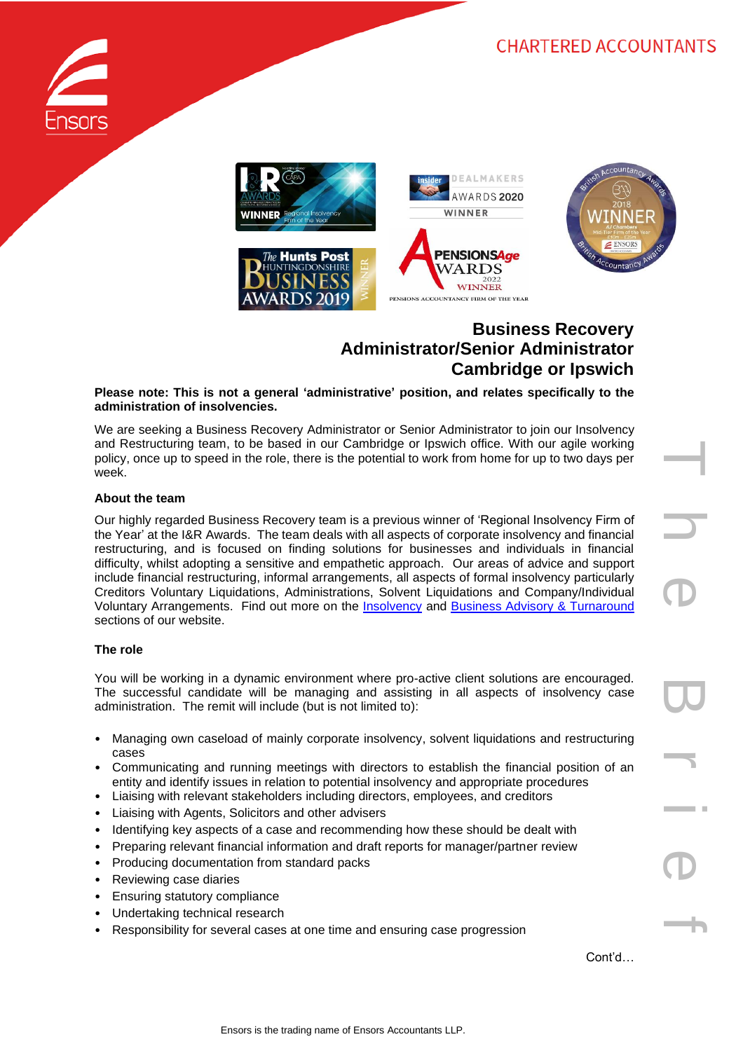



# **Business Recovery Administrator/Senior Administrator Cambridge or Ipswich**

**Please note: This is not a general 'administrative' position, and relates specifically to the administration of insolvencies.**

We are seeking a Business Recovery Administrator or Senior Administrator to join our Insolvency and Restructuring team, to be based in our Cambridge or Ipswich office. With our agile working policy, once up to speed in the role, there is the potential to work from home for up to two days per week.

#### **About the team**

Our highly regarded Business Recovery team is a previous winner of 'Regional Insolvency Firm of the Year' at the I&R Awards. The team deals with all aspects of corporate insolvency and financial restructuring, and is focused on finding solutions for businesses and individuals in financial difficulty, whilst adopting a sensitive and empathetic approach. Our areas of advice and support include financial restructuring, informal arrangements, all aspects of formal insolvency particularly Creditors Voluntary Liquidations, Administrations, Solvent Liquidations and Company/Individual Voluntary Arrangements. Find out more on the [Insolvency](https://www.ensors.co.uk/what-we-do/insolvency/) and [Business Advisory & Turnaround](https://www.ensors.co.uk/what-we-do/business-advisory-turnaround/) sections of our website.

# **The role**

You will be working in a dynamic environment where pro-active client solutions are encouraged. The successful candidate will be managing and assisting in all aspects of insolvency case administration. The remit will include (but is not limited to):

- Managing own caseload of mainly corporate insolvency, solvent liquidations and restructuring cases
- Communicating and running meetings with directors to establish the financial position of an entity and identify issues in relation to potential insolvency and appropriate procedures
- Liaising with relevant stakeholders including directors, employees, and creditors
- Liaising with Agents, Solicitors and other advisers
- Identifying key aspects of a case and recommending how these should be dealt with
- Preparing relevant financial information and draft reports for manager/partner review
- Producing documentation from standard packs
- Reviewing case diaries
- Ensuring statutory compliance
- Undertaking technical research
- Responsibility for several cases at one time and ensuring case progression

Cont'd…

T h e B r i e f